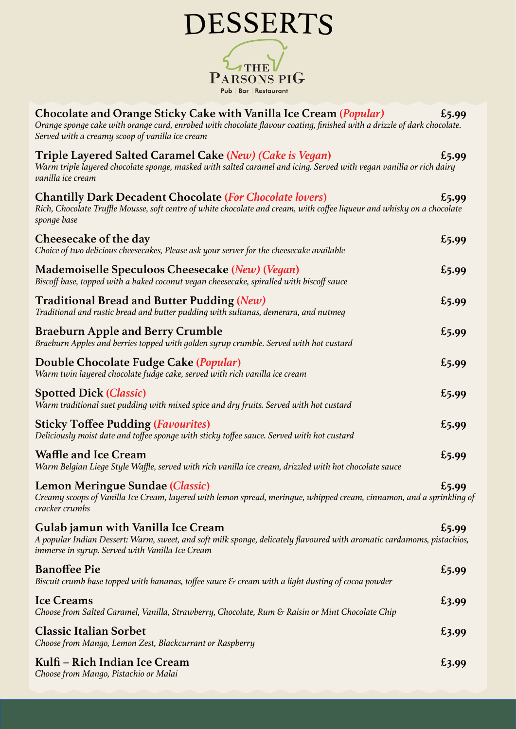| <b>DESSERTS</b>                                                                                                                                                                                                                                          |       |
|----------------------------------------------------------------------------------------------------------------------------------------------------------------------------------------------------------------------------------------------------------|-------|
| PARSONS PIG<br>Pub   Bar   Restaurant                                                                                                                                                                                                                    |       |
| Chocolate and Orange Sticky Cake with Vanilla Ice Cream ( <i>Popular</i> )<br>Orange sponge cake with orange curd, enrobed with chocolate flavour coating, finished with a drizzle of dark chocolate.<br>Served with a creamy scoop of vanilla ice cream | £5.99 |
| Triple Layered Salted Caramel Cake (New) (Cake is Vegan)<br>Warm triple layered chocolate sponge, masked with salted caramel and icing. Served with vegan vanilla or rich dairy<br>vanilla ice cream                                                     | £5.99 |
| <b>Chantilly Dark Decadent Chocolate (For Chocolate lovers)</b><br>Rich, Chocolate Truffle Mousse, soft centre of white chocolate and cream, with coffee liqueur and whisky on a chocolate<br>sponge base                                                | £5.99 |
| Cheesecake of the day<br>Choice of two delicious cheesecakes, Please ask your server for the cheesecake available                                                                                                                                        | £5.99 |
| Mademoiselle Speculoos Cheesecake (New) (Vegan)<br>Biscoff base, topped with a baked coconut vegan cheesecake, spiralled with biscoff sauce                                                                                                              | £5.99 |
| <b>Traditional Bread and Butter Pudding (New)</b><br>Traditional and rustic bread and butter pudding with sultanas, demerara, and nutmeg                                                                                                                 | £5.99 |
| <b>Braeburn Apple and Berry Crumble</b><br>Braeburn Apples and berries topped with golden syrup crumble. Served with hot custard                                                                                                                         | £5.99 |
| Double Chocolate Fudge Cake ( <i>Popular</i> )<br>Warm twin layered chocolate fudge cake, served with rich vanilla ice cream                                                                                                                             | £5.99 |
| <b>Spotted Dick (Classic)</b><br>Warm traditional suet pudding with mixed spice and dry fruits. Served with hot custard                                                                                                                                  | £5.99 |
| <b>Sticky Toffee Pudding (Favourites)</b><br>Deliciously moist date and toffee sponge with sticky toffee sauce. Served with hot custard                                                                                                                  | £5.99 |
| <b>Waffle and Ice Cream</b><br>Warm Belgian Liege Style Waffle, served with rich vanilla ice cream, drizzled with hot chocolate sauce                                                                                                                    | £5.99 |
| Lemon Meringue Sundae (Classic)<br>Creamy scoops of Vanilla Ice Cream, layered with lemon spread, meringue, whipped cream, cinnamon, and a sprinkling of<br>cracker crumbs                                                                               | £5.99 |
| Gulab jamun with Vanilla Ice Cream<br>A popular Indian Dessert: Warm, sweet, and soft milk sponge, delicately flavoured with aromatic cardamoms, pistachios,<br>immerse in syrup. Served with Vanilla Ice Cream                                          | £5.99 |
| <b>Banoffee Pie</b><br>Biscuit crumb base topped with bananas, toffee sauce $\varepsilon$ cream with a light dusting of cocoa powder                                                                                                                     | £5.99 |
| <b>Ice Creams</b><br>Choose from Salted Caramel, Vanilla, Strawberry, Chocolate, Rum & Raisin or Mint Chocolate Chip                                                                                                                                     | £3.99 |
| <b>Classic Italian Sorbet</b><br>Choose from Mango, Lemon Zest, Blackcurrant or Raspberry                                                                                                                                                                | £3.99 |
| Kulfi - Rich Indian Ice Cream<br>Choose from Mango, Pistachio or Malai                                                                                                                                                                                   | £3.99 |